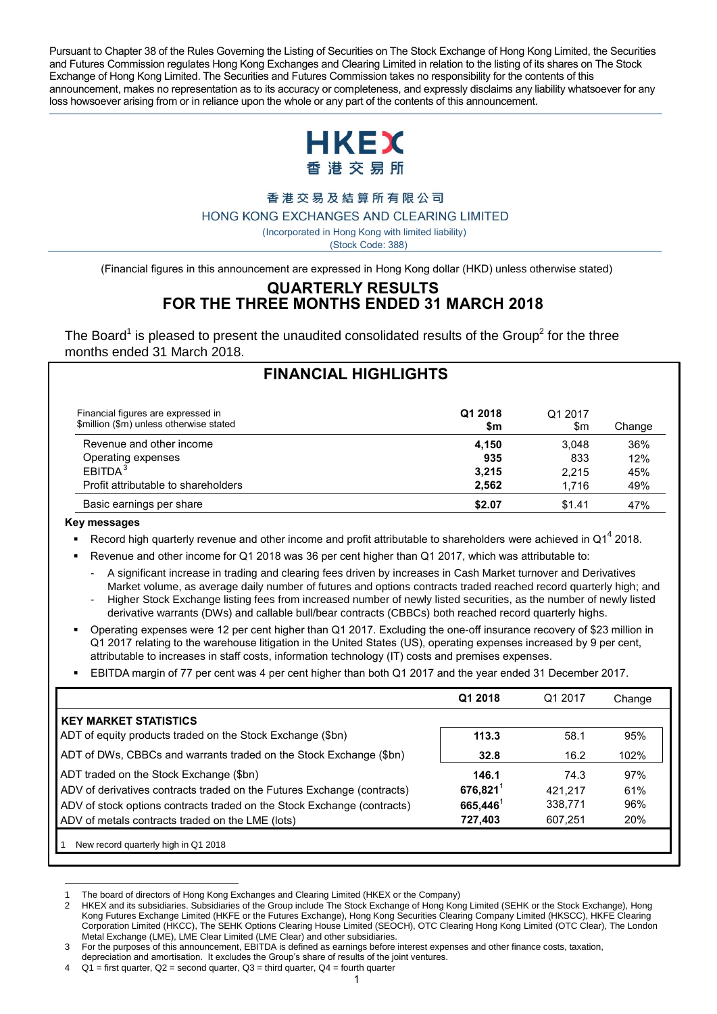Pursuant to Chapter 38 of the Rules Governing the Listing of Securities on The Stock Exchange of Hong Kong Limited, the Securities and Futures Commission regulates Hong Kong Exchanges and Clearing Limited in relation to the listing of its shares on The Stock Exchange of Hong Kong Limited. The Securities and Futures Commission takes no responsibility for the contents of this announcement, makes no representation as to its accuracy or completeness, and expressly disclaims any liability whatsoever for any loss howsoever arising from or in reliance upon the whole or any part of the contents of this announcement.



香港交易及結算所有限公司

HONG KONG EXCHANGES AND CLEARING LIMITED

( Incorporated in Hong Kong with limited liability)

(Stock Code: 388)

(Financial figures in this announcement are expressed in Hong Kong dollar (HKD) unless otherwise stated)

# **QUARTERLY RESULTS FOR THE THREE MONTHS ENDED 31 MARCH 2018**

The Board<sup>1</sup> is pleased to present the unaudited consolidated results of the Group<sup>2</sup> for the three months ended 31 March 2018.

|                                                                               | <b>FINANCIAL HIGHLIGHTS</b> |                |        |
|-------------------------------------------------------------------------------|-----------------------------|----------------|--------|
| Financial figures are expressed in<br>\$million (\$m) unless otherwise stated | Q1 2018<br>\$m              | Q1 2017<br>\$m | Change |
| Revenue and other income                                                      | 4,150                       | 3.048          | 36%    |
| Operating expenses                                                            | 935                         | 833            | 12%    |
| EBITDA <sup>3</sup>                                                           | 3,215                       | 2.215          | 45%    |
| Profit attributable to shareholders                                           | 2,562                       | 1.716          | 49%    |
| Basic earnings per share                                                      | \$2.07                      | \$1.41         | 47%    |

#### **Key messages**

Record high quarterly revenue and other income and profit attributable to shareholders were achieved in Q1<sup>4</sup> 2018.

Revenue and other income for Q1 2018 was 36 per cent higher than Q1 2017, which was attributable to:

- A significant increase in trading and clearing fees driven by increases in Cash Market turnover and Derivatives Market volume, as average daily number of futures and options contracts traded reached record quarterly high; and
- Higher Stock Exchange listing fees from increased number of newly listed securities, as the number of newly listed derivative warrants (DWs) and callable bull/bear contracts (CBBCs) both reached record quarterly highs.
- Operating expenses were 12 per cent higher than Q1 2017. Excluding the one-off insurance recovery of \$23 million in Q1 2017 relating to the warehouse litigation in the United States (US), operating expenses increased by 9 per cent, attributable to increases in staff costs, information technology (IT) costs and premises expenses.
- EBITDA margin of 77 per cent was 4 per cent higher than both Q1 2017 and the year ended 31 December 2017.

|                                                                         | Q1 2018           | Q1 2017 | Change |
|-------------------------------------------------------------------------|-------------------|---------|--------|
| <b>KEY MARKET STATISTICS</b>                                            |                   |         |        |
| ADT of equity products traded on the Stock Exchange (\$bn)              | 113.3             | 58.1    | 95%    |
| ADT of DWs, CBBCs and warrants traded on the Stock Exchange (\$bn)      | 32.8              | 16.2    | 102%   |
| ADT traded on the Stock Exchange (\$bn)                                 | 146.1             | 74.3    | 97%    |
| ADV of derivatives contracts traded on the Futures Exchange (contracts) | $676,821^{\circ}$ | 421.217 | 61%    |
| ADV of stock options contracts traded on the Stock Exchange (contracts) | $665,446^1$       | 338,771 | 96%    |
| ADV of metals contracts traded on the LME (lots)                        | 727,403           | 607.251 | 20%    |
| New record quarterly high in Q1 2018                                    |                   |         |        |

 $\overline{a}$ 1 The board of directors of Hong Kong Exchanges and Clearing Limited (HKEX or the Company)

<sup>2</sup> HKEX and its subsidiaries. Subsidiaries of the Group include The Stock Exchange of Hong Kong Limited (SEHK or the Stock Exchange), Hong Kong Futures Exchange Limited (HKFE or the Futures Exchange), Hong Kong Securities Clearing Company Limited (HKSCC), HKFE Clearing Corporation Limited (HKCC), The SEHK Options Clearing House Limited (SEOCH), OTC Clearing Hong Kong Limited (OTC Clear), The London Metal Exchange (LME), LME Clear Limited (LME Clear) and other subsidiaries.

<sup>3</sup> For the purposes of this announcement, EBITDA is defined as earnings before interest expenses and other finance costs, taxation,

depreciation and amortisation. It excludes the Group's share of results of the joint ventures.

 $4$  Q1 = first quarter, Q2 = second quarter, Q3 = third quarter, Q4 = fourth quarter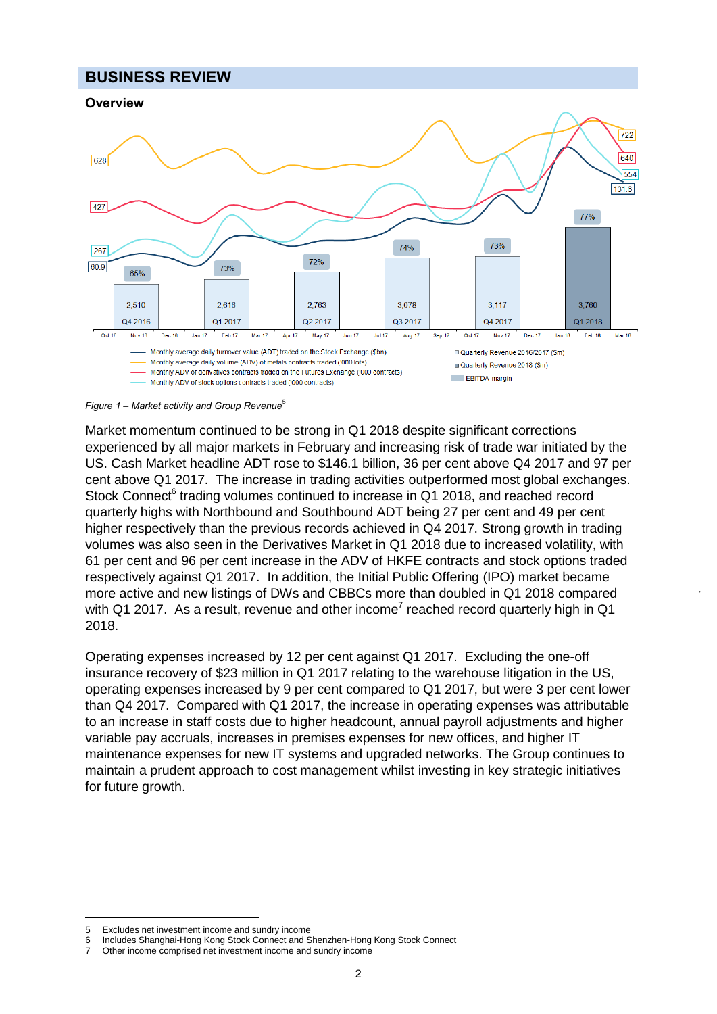# **BUSINESS REVIEW**



*Figure 1 – Market activity and Group Revenue*<sup>5</sup>

Market momentum continued to be strong in Q1 2018 despite significant corrections experienced by all major markets in February and increasing risk of trade war initiated by the US. Cash Market headline ADT rose to \$146.1 billion, 36 per cent above Q4 2017 and 97 per cent above Q1 2017. The increase in trading activities outperformed most global exchanges. Stock Connect<sup>6</sup> trading volumes continued to increase in Q1 2018, and reached record quarterly highs with Northbound and Southbound ADT being 27 per cent and 49 per cent higher respectively than the previous records achieved in Q4 2017. Strong growth in trading volumes was also seen in the Derivatives Market in Q1 2018 due to increased volatility, with 61 per cent and 96 per cent increase in the ADV of HKFE contracts and stock options traded respectively against Q1 2017. In addition, the Initial Public Offering (IPO) market became more active and new listings of DWs and CBBCs more than doubled in Q1 2018 compared with Q1 2017. As a result, revenue and other income<sup>7</sup> reached record quarterly high in Q1 2018.

Operating expenses increased by 12 per cent against Q1 2017. Excluding the one-off insurance recovery of \$23 million in Q1 2017 relating to the warehouse litigation in the US, operating expenses increased by 9 per cent compared to Q1 2017, but were 3 per cent lower than Q4 2017. Compared with Q1 2017, the increase in operating expenses was attributable to an increase in staff costs due to higher headcount, annual payroll adjustments and higher variable pay accruals, increases in premises expenses for new offices, and higher IT maintenance expenses for new IT systems and upgraded networks. The Group continues to maintain a prudent approach to cost management whilst investing in key strategic initiatives for future growth.

 5 Excludes net investment income and sundry income

<sup>6</sup> Includes Shanghai-Hong Kong Stock Connect and Shenzhen-Hong Kong Stock Connect

<sup>7</sup> Other income comprised net investment income and sundry income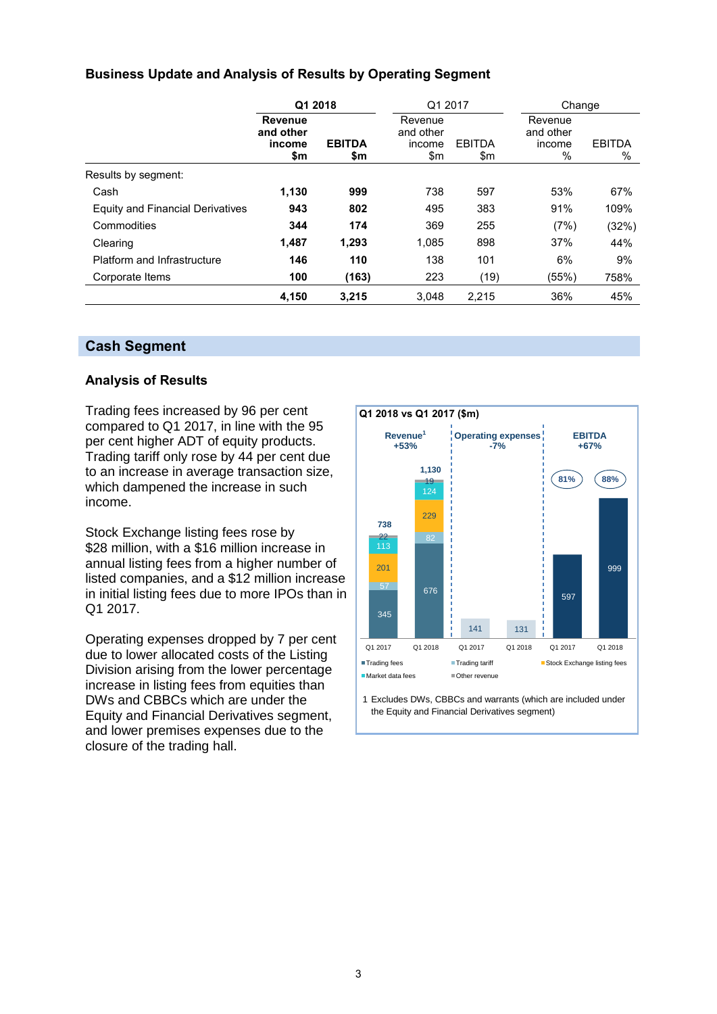# **Business Update and Analysis of Results by Operating Segment**

|                                  | Q1 2018                                      |                      | Q1 2017                               |                      | Change                              |                    |  |
|----------------------------------|----------------------------------------------|----------------------|---------------------------------------|----------------------|-------------------------------------|--------------------|--|
|                                  | <b>Revenue</b><br>and other<br>income<br>\$m | <b>EBITDA</b><br>\$m | Revenue<br>and other<br>income<br>\$m | <b>EBITDA</b><br>\$m | Revenue<br>and other<br>income<br>% | <b>EBITDA</b><br>% |  |
| Results by segment:              |                                              |                      |                                       |                      |                                     |                    |  |
| Cash                             | 1,130                                        | 999                  | 738                                   | 597                  | 53%                                 | 67%                |  |
| Equity and Financial Derivatives | 943                                          | 802                  | 495                                   | 383                  | 91%                                 | 109%               |  |
| Commodities                      | 344                                          | 174                  | 369                                   | 255                  | (7%)                                | (32%)              |  |
| Clearing                         | 1,487                                        | 1.293                | 1.085                                 | 898                  | 37%                                 | 44%                |  |
| Platform and Infrastructure      | 146                                          | 110                  | 138                                   | 101                  | 6%                                  | 9%                 |  |
| Corporate Items                  | 100                                          | (163)                | 223                                   | (19)                 | (55%)                               | 758%               |  |
|                                  | 4,150                                        | 3,215                | 3,048                                 | 2,215                | 36%                                 | 45%                |  |

# **Cash Segment**

# **Analysis of Results**

Trading fees increased by 96 per cent compared to Q1 2017, in line with the 95 per cent higher ADT of equity products. Trading tariff only rose by 44 per cent due to an increase in average transaction size, which dampened the increase in such income.

Stock Exchange listing fees rose by \$28 million, with a \$16 million increase in annual listing fees from a higher number of listed companies, and a \$12 million increase in initial listing fees due to more IPOs than in Q1 2017.

Operating expenses dropped by 7 per cent due to lower allocated costs of the Listing Division arising from the lower percentage increase in listing fees from equities than DWs and CBBCs which are under the Equity and Financial Derivatives segment, and lower premises expenses due to the closure of the trading hall.



1 Excludes DWs, CBBCs and warrants (which are included under the Equity and Financial Derivatives segment)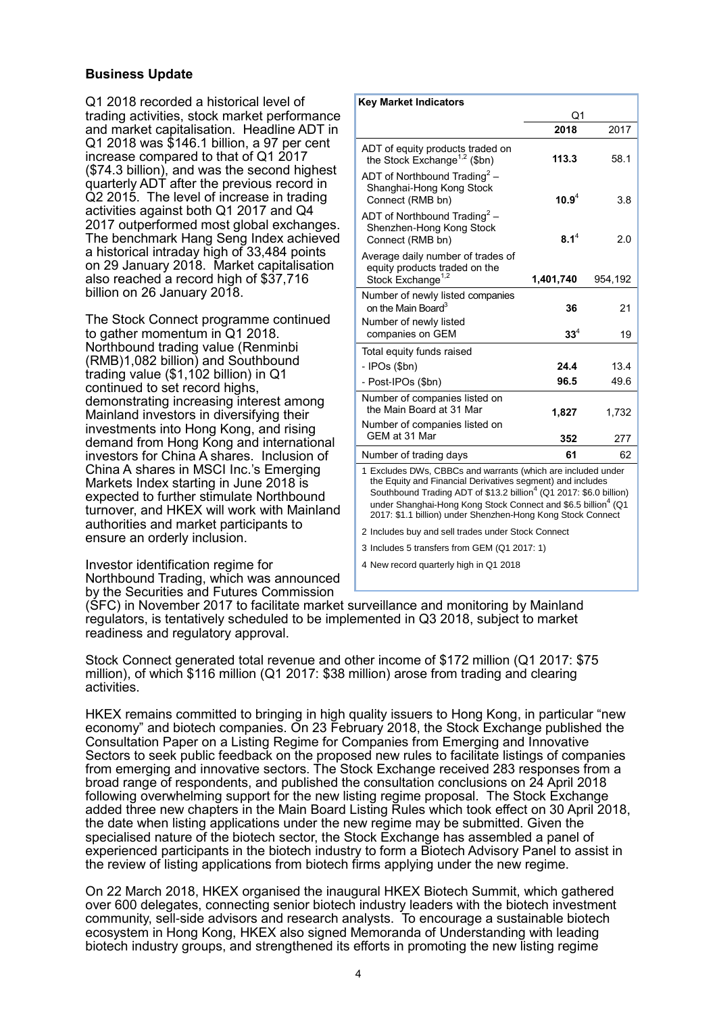# **Business Update**

Q1 2018 recorded a historical level of trading activities, stock market performance and market capitalisation. Headline ADT in Q1 2018 was \$146.1 billion, a 97 per cent increase compared to that of Q1 2017 (\$74.3 billion), and was the second highest quarterly ADT after the previous record in Q2 2015. The level of increase in trading activities against both Q1 2017 and Q4 2017 outperformed most global exchanges. The benchmark Hang Seng Index achieved a historical intraday high of 33,484 points on 29 January 2018. Market capitalisation also reached a record high of \$37,716 billion on 26 January 2018.

The Stock Connect programme continued to gather momentum in Q1 2018. Northbound trading value (Renminbi (RMB)1,082 billion) and Southbound trading value (\$1,102 billion) in Q1 continued to set record highs, demonstrating increasing interest among Mainland investors in diversifying their investments into Hong Kong, and rising demand from Hong Kong and international investors for China A shares. Inclusion of China A shares in MSCI Inc.'s Emerging Markets Index starting in June 2018 is expected to further stimulate Northbound turnover, and HKEX will work with Mainland authorities and market participants to ensure an orderly inclusion.

Investor identification regime for Northbound Trading, which was announced by the Securities and Futures Commission

| <b>Key Market Indicators</b>                                                                                                                                                                                                                                                                                                                             |            |         |
|----------------------------------------------------------------------------------------------------------------------------------------------------------------------------------------------------------------------------------------------------------------------------------------------------------------------------------------------------------|------------|---------|
|                                                                                                                                                                                                                                                                                                                                                          | Q1         |         |
|                                                                                                                                                                                                                                                                                                                                                          | 2018       | 2017    |
| ADT of equity products traded on<br>the Stock Exchange <sup>1,2</sup> (\$bn)                                                                                                                                                                                                                                                                             | 113.3      | 58.1    |
| ADT of Northbound Trading <sup>2</sup> –<br>Shanghai-Hong Kong Stock<br>Connect (RMB bn)                                                                                                                                                                                                                                                                 | $10.9^{4}$ | 3.8     |
| ADT of Northbound Trading <sup>2</sup> –<br>Shenzhen-Hong Kong Stock<br>Connect (RMB bn)                                                                                                                                                                                                                                                                 | $8.1^4$    | 2.0     |
| Average daily number of trades of<br>equity products traded on the<br>Stock Exchange <sup>1,2</sup>                                                                                                                                                                                                                                                      | 1,401,740  | 954,192 |
| Number of newly listed companies<br>on the Main Board <sup>3</sup>                                                                                                                                                                                                                                                                                       | 36         | 21      |
| Number of newly listed<br>companies on GEM                                                                                                                                                                                                                                                                                                               | $33^4$     | 19      |
| Total equity funds raised                                                                                                                                                                                                                                                                                                                                |            |         |
| - IPOs (\$bn)                                                                                                                                                                                                                                                                                                                                            | 24.4       | 13.4    |
| - Post-IPOs (\$bn)                                                                                                                                                                                                                                                                                                                                       | 96.5       | 49.6    |
| Number of companies listed on<br>the Main Board at 31 Mar                                                                                                                                                                                                                                                                                                | 1,827      | 1,732   |
| Number of companies listed on<br>GEM at 31 Mar                                                                                                                                                                                                                                                                                                           | 352        | 277     |
| Number of trading days                                                                                                                                                                                                                                                                                                                                   | 61         | 62      |
| 1 Excludes DWs, CBBCs and warrants (which are included under<br>the Equity and Financial Derivatives segment) and includes<br>Southbound Trading ADT of \$13.2 billion <sup>4</sup> (Q1 2017: \$6.0 billion)<br>under Shanghai-Hong Kong Stock Connect and \$6.5 billion <sup>4</sup> (Q1<br>2017: \$1.1 billion) under Shenzhen-Hong Kong Stock Connect |            |         |
| 2 Includes buy and sell trades under Stock Connect                                                                                                                                                                                                                                                                                                       |            |         |
| 3 Includes 5 transfers from GEM (Q1 2017: 1)                                                                                                                                                                                                                                                                                                             |            |         |

4 New record quarterly high in Q1 2018

(SFC) in November 2017 to facilitate market surveillance and monitoring by Mainland regulators, is tentatively scheduled to be implemented in Q3 2018, subject to market readiness and regulatory approval.

Stock Connect generated total revenue and other income of \$172 million (Q1 2017: \$75 million), of which \$116 million (Q1 2017: \$38 million) arose from trading and clearing activities.

HKEX remains committed to bringing in high quality issuers to Hong Kong, in particular "new economy" and biotech companies. On 23 February 2018, the Stock Exchange published the Consultation Paper on a Listing Regime for Companies from Emerging and Innovative Sectors to seek public feedback on the proposed new rules to facilitate listings of companies from emerging and innovative sectors. The Stock Exchange received 283 responses from a broad range of respondents, and published the consultation conclusions on 24 April 2018 following overwhelming support for the new listing regime proposal. The Stock Exchange added three new chapters in the Main Board Listing Rules which took effect on 30 April 2018, the date when listing applications under the new regime may be submitted. Given the specialised nature of the biotech sector, the Stock Exchange has assembled a panel of experienced participants in the biotech industry to form a Biotech Advisory Panel to assist in the review of listing applications from biotech firms applying under the new regime.

On 22 March 2018, HKEX organised the inaugural HKEX Biotech Summit, which gathered over 600 delegates, connecting senior biotech industry leaders with the biotech investment community, sell-side advisors and research analysts. To encourage a sustainable biotech ecosystem in Hong Kong, HKEX also signed Memoranda of Understanding with leading biotech industry groups, and strengthened its efforts in promoting the new listing regime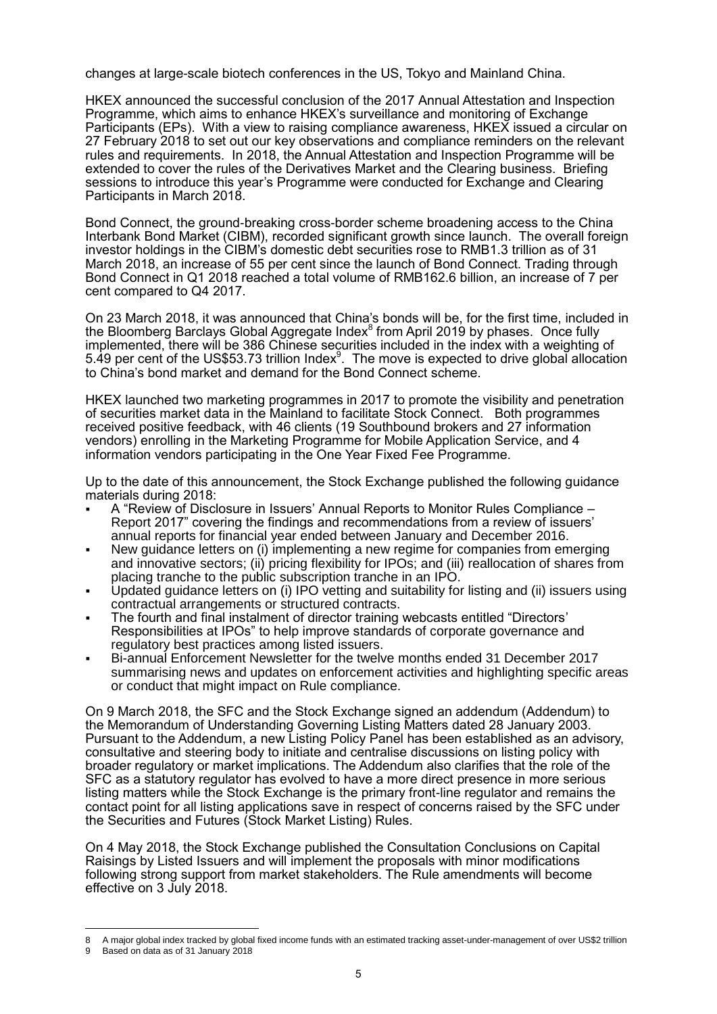changes at large-scale biotech conferences in the US, Tokyo and Mainland China.

HKEX announced the successful conclusion of the 2017 Annual Attestation and Inspection Programme, which aims to enhance HKEX's surveillance and monitoring of Exchange Participants (EPs). With a view to raising compliance awareness, HKEX issued a circular on 27 February 2018 to set out our key observations and compliance reminders on the relevant rules and requirements. In 2018, the Annual Attestation and Inspection Programme will be extended to cover the rules of the Derivatives Market and the Clearing business. Briefing sessions to introduce this year's Programme were conducted for Exchange and Clearing Participants in March 2018.

Bond Connect, the ground-breaking cross-border scheme broadening access to the China Interbank Bond Market (CIBM), recorded significant growth since launch. The overall foreign investor holdings in the CIBM's domestic debt securities rose to RMB1.3 trillion as of 31 March 2018, an increase of 55 per cent since the launch of Bond Connect. Trading through Bond Connect in Q1 2018 reached a total volume of RMB162.6 billion, an increase of 7 per cent compared to Q4 2017.

On 23 March 2018, it was announced that China's bonds will be, for the first time, included in the Bloomberg Barclays Global Aggregate Index $^8$  from April 2019 by phases. Once fully implemented, there will be 386 Chinese securities included in the index with a weighting of 5.49 per cent of the US\$53.73 trillion Index $9$ . The move is expected to drive global allocation to China's bond market and demand for the Bond Connect scheme.

HKEX launched two marketing programmes in 2017 to promote the visibility and penetration of securities market data in the Mainland to facilitate Stock Connect. Both programmes received positive feedback, with 46 clients (19 Southbound brokers and 27 information vendors) enrolling in the Marketing Programme for Mobile Application Service, and 4 information vendors participating in the One Year Fixed Fee Programme.

Up to the date of this announcement, the Stock Exchange published the following guidance materials during 2018:

- A "Review of Disclosure in Issuers' Annual Reports to Monitor Rules Compliance Report 2017" covering the findings and recommendations from a review of issuers' annual reports for financial year ended between January and December 2016.
- New guidance letters on (i) implementing a new regime for companies from emerging and innovative sectors; (ii) pricing flexibility for IPOs; and (iii) reallocation of shares from placing tranche to the public subscription tranche in an IPO.
- Updated guidance letters on (i) IPO vetting and suitability for listing and (ii) issuers using contractual arrangements or structured contracts.
- The fourth and final instalment of director training webcasts entitled "Directors' Responsibilities at IPOs" to help improve standards of corporate governance and regulatory best practices among listed issuers.
- Bi-annual Enforcement Newsletter for the twelve months ended 31 December 2017 summarising news and updates on enforcement activities and highlighting specific areas or conduct that might impact on Rule compliance.

On 9 March 2018, the SFC and the Stock Exchange signed an addendum (Addendum) to the Memorandum of Understanding Governing Listing Matters dated 28 January 2003. Pursuant to the Addendum, a new Listing Policy Panel has been established as an advisory, consultative and steering body to initiate and centralise discussions on listing policy with broader regulatory or market implications. The Addendum also clarifies that the role of the SFC as a statutory regulator has evolved to have a more direct presence in more serious listing matters while the Stock Exchange is the primary front-line regulator and remains the contact point for all listing applications save in respect of concerns raised by the SFC under the Securities and Futures (Stock Market Listing) Rules.

On 4 May 2018, the Stock Exchange published the Consultation Conclusions on Capital Raisings by Listed Issuers and will implement the proposals with minor modifications following strong support from market stakeholders. The Rule amendments will become effective on 3 July 2018.

 $\overline{a}$ 8 A major global index tracked by global fixed income funds with an estimated tracking asset-under-management of over US\$2 trillion

Based on data as of 31 January 2018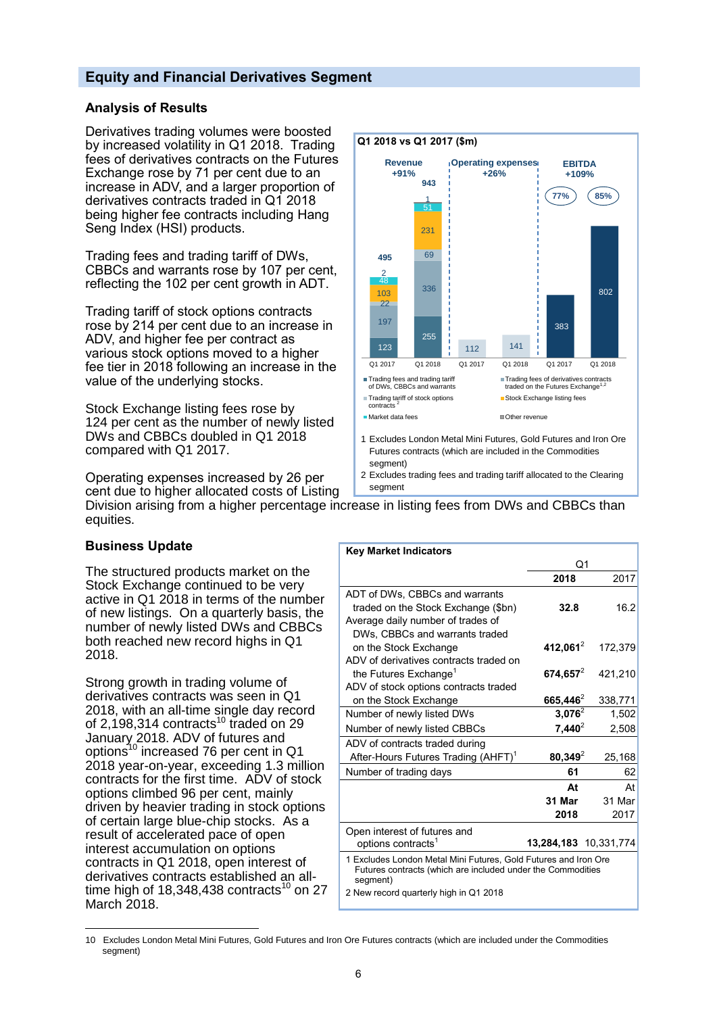# **Equity and Financial Derivatives Segment**

# **Analysis of Results**

Derivatives trading volumes were boosted by increased volatility in Q1 2018. Trading fees of derivatives contracts on the Futures Exchange rose by 71 per cent due to an increase in ADV, and a larger proportion of derivatives contracts traded in Q1 2018 being higher fee contracts including Hang Seng Index (HSI) products.

Trading fees and trading tariff of DWs, CBBCs and warrants rose by 107 per cent, reflecting the 102 per cent growth in ADT.

Trading tariff of stock options contracts rose by 214 per cent due to an increase in ADV, and higher fee per contract as various stock options moved to a higher fee tier in 2018 following an increase in the value of the underlying stocks.

Stock Exchange listing fees rose by 124 per cent as the number of newly listed DWs and CBBCs doubled in Q1 2018 compared with Q1 2017.



Operating expenses increased by 26 per cent due to higher allocated costs of Listing Division arising from a higher percentage increase in listing fees from DWs and CBBCs than equities. 2 Excludes trading fees and trading tariff allocated to the Clearing segment

#### **Business Update**

The structured products market on the Stock Exchange continued to be very active in Q1 2018 in terms of the number of new listings. On a quarterly basis, the number of newly listed DWs and CBBCs both reached new record highs in Q1 2018.

Strong growth in trading volume of derivatives contracts was seen in Q1 2018, with an all-time single day record of 2,198,314 contracts<sup>10</sup> traded on 29 January 2018. ADV of futures and options<sup>10</sup> increased 76 per cent in Q1 2018 year-on-year, exceeding 1.3 million contracts for the first time. ADV of stock options climbed 96 per cent, mainly driven by heavier trading in stock options of certain large blue-chip stocks. As a result of accelerated pace of open interest accumulation on options contracts in Q1 2018, open interest of derivatives contracts established an alltime high of  $18,348,438$  contracts<sup>10</sup> on 27 March 2018.

| Q1                                                                                                                             |                                          |
|--------------------------------------------------------------------------------------------------------------------------------|------------------------------------------|
| 2018                                                                                                                           | 2017                                     |
|                                                                                                                                |                                          |
| 32.8                                                                                                                           | 16.2                                     |
|                                                                                                                                |                                          |
|                                                                                                                                |                                          |
| 412,061 $^{2}$                                                                                                                 | 172.379                                  |
|                                                                                                                                |                                          |
|                                                                                                                                | 421,210                                  |
|                                                                                                                                |                                          |
| 665,446 <sup>2</sup>                                                                                                           | 338,771                                  |
|                                                                                                                                | 1,502                                    |
|                                                                                                                                | 2,508                                    |
|                                                                                                                                |                                          |
| $80,349^2$                                                                                                                     | 25,168                                   |
| 61                                                                                                                             | 62                                       |
| At                                                                                                                             | At                                       |
| 31 Mar                                                                                                                         | 31 Mar                                   |
| 2018                                                                                                                           | 2017                                     |
|                                                                                                                                |                                          |
| 13,284,183 10,331,774                                                                                                          |                                          |
| 1 Excludes London Metal Mini Futures, Gold Futures and Iron Ore<br>Futures contracts (which are included under the Commodities |                                          |
|                                                                                                                                | 674,657 $^{2}$<br>$3,076^2$<br>$7,440^2$ |

 $\overline{a}$ 10 Excludes London Metal Mini Futures, Gold Futures and Iron Ore Futures contracts (which are included under the Commodities segment)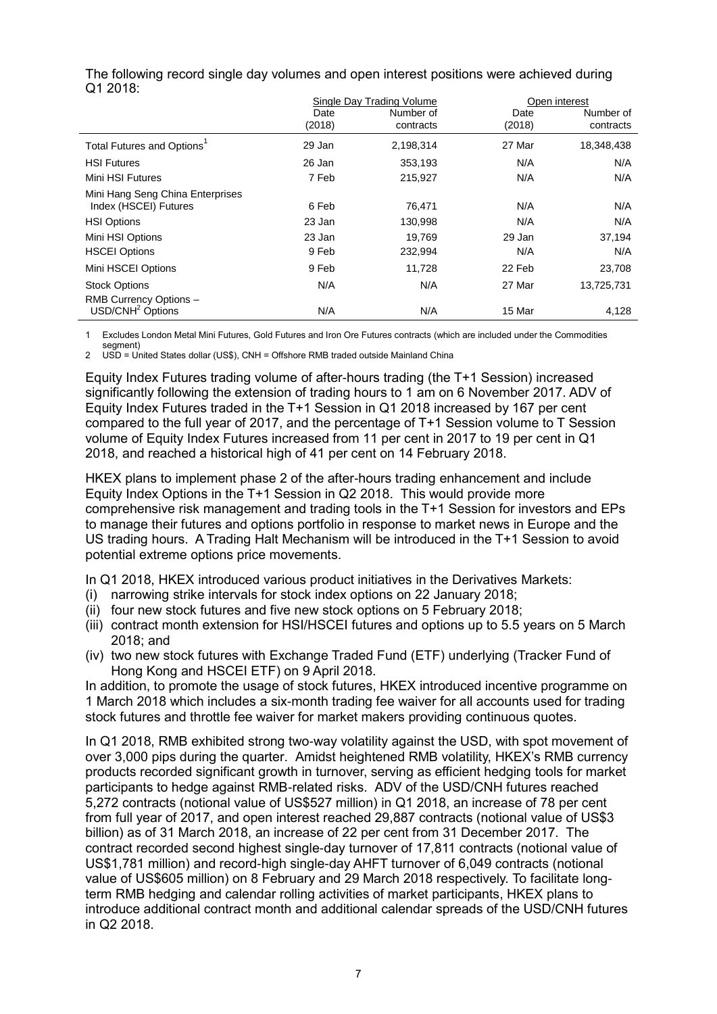|                                                           |                | Single Day Trading Volume |                | Open interest          |
|-----------------------------------------------------------|----------------|---------------------------|----------------|------------------------|
|                                                           | Date<br>(2018) | Number of<br>contracts    | Date<br>(2018) | Number of<br>contracts |
| Total Futures and Options <sup>1</sup>                    | 29 Jan         | 2,198,314                 | 27 Mar         | 18,348,438             |
| <b>HSI Futures</b>                                        | 26 Jan         | 353,193                   | N/A            | N/A                    |
| Mini HSI Futures                                          | 7 Feb          | 215,927                   | N/A            | N/A                    |
| Mini Hang Seng China Enterprises<br>Index (HSCEI) Futures | 6 Feb          | 76,471                    | N/A            | N/A                    |
| <b>HSI Options</b>                                        | 23 Jan         | 130,998                   | N/A            | N/A                    |
| Mini HSI Options                                          | 23 Jan         | 19.769                    | 29 Jan         | 37,194                 |
| <b>HSCEI Options</b>                                      | 9 Feb          | 232,994                   | N/A            | N/A                    |
| Mini HSCEI Options                                        | 9 Feb          | 11,728                    | 22 Feb         | 23,708                 |
| <b>Stock Options</b>                                      | N/A            | N/A                       | 27 Mar         | 13,725,731             |
| RMB Currency Options -<br>USD/CNH <sup>2</sup> Options    | N/A            | N/A                       | 15 Mar         | 4,128                  |

The following record single day volumes and open interest positions were achieved during Q1 2018:

1 Excludes London Metal Mini Futures, Gold Futures and Iron Ore Futures contracts (which are included under the Commodities

segment) 2 USD = United States dollar (US\$), CNH = Offshore RMB traded outside Mainland China

Equity Index Futures trading volume of after-hours trading (the T+1 Session) increased significantly following the extension of trading hours to 1 am on 6 November 2017. ADV of Equity Index Futures traded in the T+1 Session in Q1 2018 increased by 167 per cent compared to the full year of 2017, and the percentage of T+1 Session volume to T Session volume of Equity Index Futures increased from 11 per cent in 2017 to 19 per cent in Q1 2018, and reached a historical high of 41 per cent on 14 February 2018.

HKEX plans to implement phase 2 of the after-hours trading enhancement and include Equity Index Options in the T+1 Session in Q2 2018. This would provide more comprehensive risk management and trading tools in the T+1 Session for investors and EPs to manage their futures and options portfolio in response to market news in Europe and the US trading hours. A Trading Halt Mechanism will be introduced in the T+1 Session to avoid potential extreme options price movements.

In Q1 2018, HKEX introduced various product initiatives in the Derivatives Markets:

- (i) narrowing strike intervals for stock index options on 22 January 2018;
- (ii) four new stock futures and five new stock options on 5 February 2018;
- (iii) contract month extension for HSI/HSCEI futures and options up to 5.5 years on 5 March 2018; and
- (iv) two new stock futures with Exchange Traded Fund (ETF) underlying (Tracker Fund of Hong Kong and HSCEI ETF) on 9 April 2018.

In addition, to promote the usage of stock futures, HKEX introduced incentive programme on 1 March 2018 which includes a six-month trading fee waiver for all accounts used for trading stock futures and throttle fee waiver for market makers providing continuous quotes.

In Q1 2018, RMB exhibited strong two-way volatility against the USD, with spot movement of over 3,000 pips during the quarter. Amidst heightened RMB volatility, HKEX's RMB currency products recorded significant growth in turnover, serving as efficient hedging tools for market participants to hedge against RMB-related risks. ADV of the USD/CNH futures reached 5,272 contracts (notional value of US\$527 million) in Q1 2018, an increase of 78 per cent from full year of 2017, and open interest reached 29,887 contracts (notional value of US\$3 billion) as of 31 March 2018, an increase of 22 per cent from 31 December 2017. The contract recorded second highest single-day turnover of 17,811 contracts (notional value of US\$1,781 million) and record-high single-day AHFT turnover of 6,049 contracts (notional value of US\$605 million) on 8 February and 29 March 2018 respectively. To facilitate longterm RMB hedging and calendar rolling activities of market participants, HKEX plans to introduce additional contract month and additional calendar spreads of the USD/CNH futures in Q2 2018.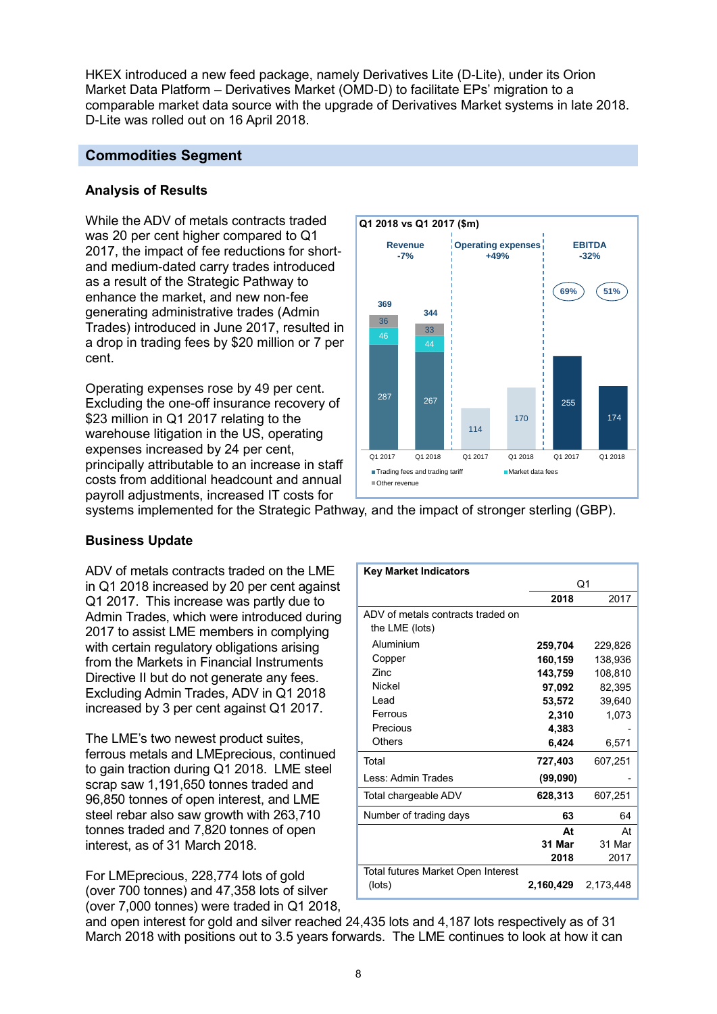HKEX introduced a new feed package, namely Derivatives Lite (D-Lite), under its Orion Market Data Platform – Derivatives Market (OMD-D) to facilitate EPs' migration to a comparable market data source with the upgrade of Derivatives Market systems in late 2018. D-Lite was rolled out on 16 April 2018.

# **Commodities Segment**

# **Analysis of Results**

While the ADV of metals contracts traded was 20 per cent higher compared to Q1 2017, the impact of fee reductions for shortand medium-dated carry trades introduced as a result of the Strategic Pathway to enhance the market, and new non-fee generating administrative trades (Admin Trades) introduced in June 2017, resulted in a drop in trading fees by \$20 million or 7 per cent.

Operating expenses rose by 49 per cent. Excluding the one-off insurance recovery of \$23 million in Q1 2017 relating to the warehouse litigation in the US, operating expenses increased by 24 per cent, principally attributable to an increase in staff costs from additional headcount and annual payroll adjustments, increased IT costs for



systems implemented for the Strategic Pathway, and the impact of stronger sterling (GBP).

# **Business Update**

ADV of metals contracts traded on the LME in Q1 2018 increased by 20 per cent against Q1 2017. This increase was partly due to Admin Trades, which were introduced during 2017 to assist LME members in complying with certain regulatory obligations arising from the Markets in Financial Instruments Directive II but do not generate any fees. Excluding Admin Trades, ADV in Q1 2018 increased by 3 per cent against Q1 2017.

The LME's two newest product suites, ferrous metals and LMEprecious, continued to gain traction during Q1 2018. LME steel scrap saw 1,191,650 tonnes traded and 96,850 tonnes of open interest, and LME steel rebar also saw growth with 263,710 tonnes traded and 7,820 tonnes of open interest, as of 31 March 2018.

For LMEprecious, 228,774 lots of gold (over 700 tonnes) and 47,358 lots of silver (over 7,000 tonnes) were traded in Q1 2018,

| <b>Key Market Indicators</b>                        |           |           |
|-----------------------------------------------------|-----------|-----------|
|                                                     |           | Q1        |
|                                                     | 2018      | 2017      |
| ADV of metals contracts traded on<br>the LME (lots) |           |           |
| Aluminium                                           | 259,704   | 229,826   |
| Copper                                              | 160,159   | 138.936   |
| Zinc.                                               | 143,759   | 108,810   |
| <b>Nickel</b>                                       | 97,092    | 82,395    |
| Lead                                                | 53,572    | 39,640    |
| Ferrous                                             | 2,310     | 1,073     |
| Precious                                            | 4,383     |           |
| Others                                              | 6,424     | 6,571     |
| Total                                               | 727,403   | 607,251   |
| Less: Admin Trades                                  | (99,090)  |           |
| Total chargeable ADV                                | 628,313   | 607,251   |
| Number of trading days                              | 63        | 64        |
|                                                     | At        | At        |
|                                                     | 31 Mar    | 31 Mar    |
|                                                     | 2018      | 2017      |
| Total futures Market Open Interest                  |           |           |
| (lots)                                              | 2,160,429 | 2,173,448 |

and open interest for gold and silver reached 24,435 lots and 4,187 lots respectively as of 31 March 2018 with positions out to 3.5 years forwards. The LME continues to look at how it can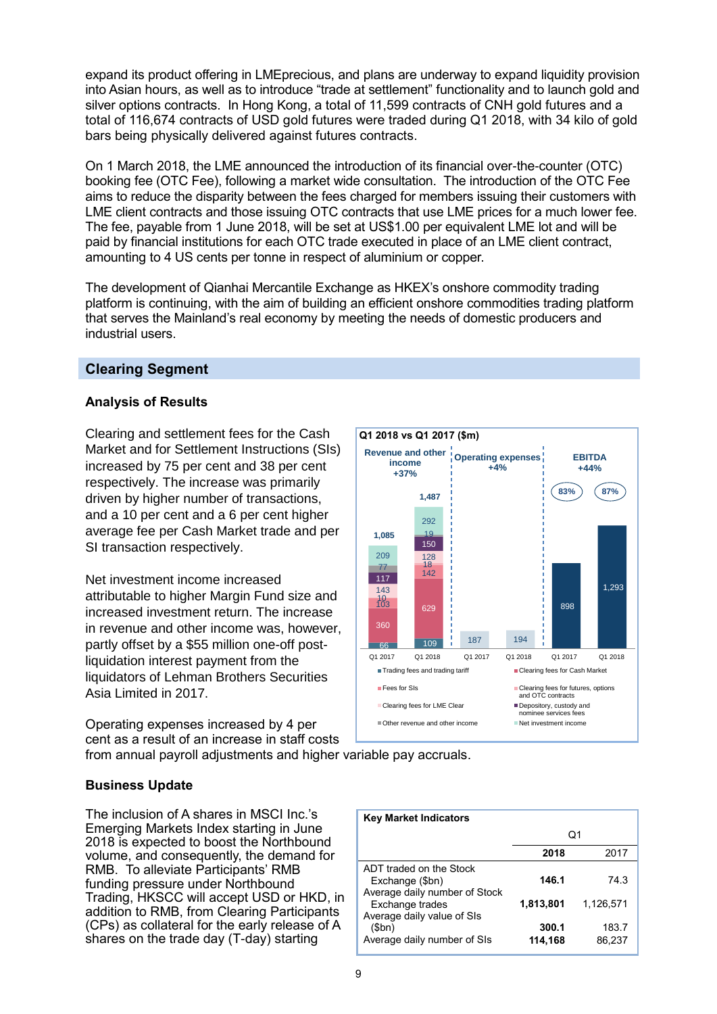expand its product offering in LMEprecious, and plans are underway to expand liquidity provision into Asian hours, as well as to introduce "trade at settlement" functionality and to launch gold and silver options contracts. In Hong Kong, a total of 11,599 contracts of CNH gold futures and a total of 116,674 contracts of USD gold futures were traded during Q1 2018, with 34 kilo of gold bars being physically delivered against futures contracts.

On 1 March 2018, the LME announced the introduction of its financial over-the-counter (OTC) booking fee (OTC Fee), following a market wide consultation. The introduction of the OTC Fee aims to reduce the disparity between the fees charged for members issuing their customers with LME client contracts and those issuing OTC contracts that use LME prices for a much lower fee. The fee, payable from 1 June 2018, will be set at US\$1.00 per equivalent LME lot and will be paid by financial institutions for each OTC trade executed in place of an LME client contract, amounting to 4 US cents per tonne in respect of aluminium or copper.

The development of Qianhai Mercantile Exchange as HKEX's onshore commodity trading platform is continuing, with the aim of building an efficient onshore commodities trading platform that serves the Mainland's real economy by meeting the needs of domestic producers and industrial users.

# **Clearing Segment**

# **Analysis of Results**

Clearing and settlement fees for the Cash Market and for Settlement Instructions (SIs) increased by 75 per cent and 38 per cent respectively. The increase was primarily driven by higher number of transactions, and a 10 per cent and a 6 per cent higher average fee per Cash Market trade and per SI transaction respectively.

Net investment income increased attributable to higher Margin Fund size and increased investment return. The increase in revenue and other income was, however, partly offset by a \$55 million one-off postliquidation interest payment from the liquidators of Lehman Brothers Securities Asia Limited in 2017.

Operating expenses increased by 4 per cent as a result of an increase in staff costs from annual payroll adjustments and higher variable pay accruals.



# **Business Update**

The inclusion of A shares in MSCI Inc.'s Emerging Markets Index starting in June 2018 is expected to boost the Northbound volume, and consequently, the demand for RMB. To alleviate Participants' RMB funding pressure under Northbound Trading, HKSCC will accept USD or HKD, in addition to RMB, from Clearing Participants (CPs) as collateral for the early release of A shares on the trade day (T-day) starting

| <b>Key Market Indicators</b>                                                |                  |                 |
|-----------------------------------------------------------------------------|------------------|-----------------|
|                                                                             | Q1               |                 |
|                                                                             | 2018             | 2017            |
| ADT traded on the Stock<br>Exchange (\$bn)<br>Average daily number of Stock | 146.1            | 74.3            |
| Exchange trades<br>Average daily value of SIs                               | 1,813,801        | 1,126,571       |
| \$bn)<br>Average daily number of SIs                                        | 300.1<br>114,168 | 183.7<br>86,237 |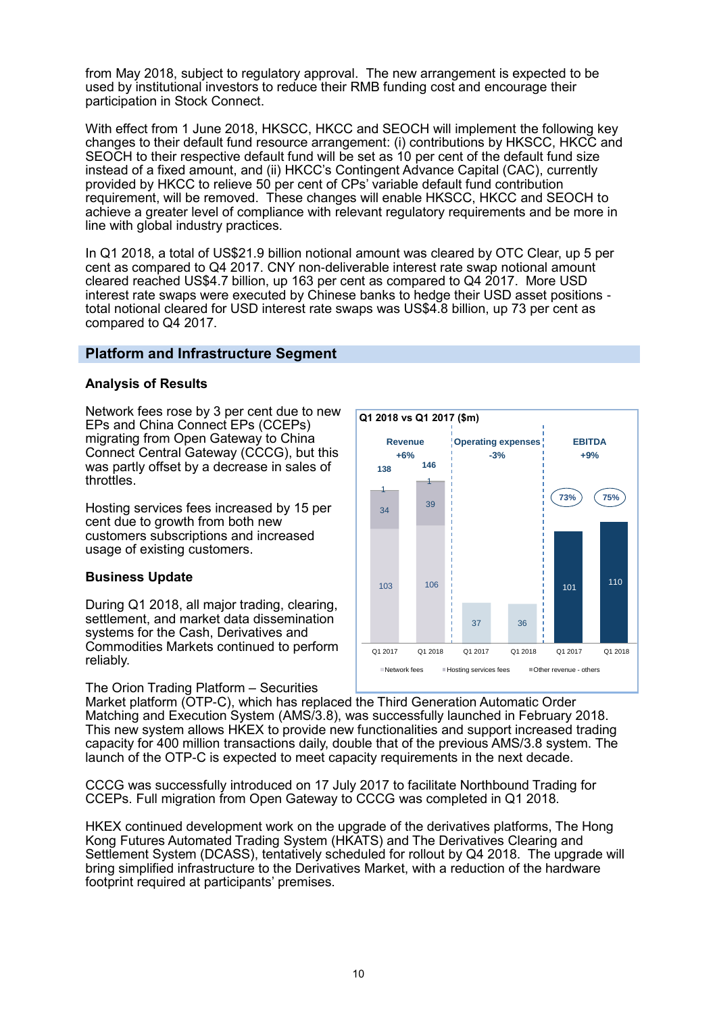from May 2018, subject to regulatory approval. The new arrangement is expected to be used by institutional investors to reduce their RMB funding cost and encourage their participation in Stock Connect.

With effect from 1 June 2018, HKSCC, HKCC and SEOCH will implement the following key changes to their default fund resource arrangement: (i) contributions by HKSCC, HKCC and SEOCH to their respective default fund will be set as 10 per cent of the default fund size instead of a fixed amount, and (ii) HKCC's Contingent Advance Capital (CAC), currently provided by HKCC to relieve 50 per cent of CPs' variable default fund contribution requirement, will be removed. These changes will enable HKSCC, HKCC and SEOCH to achieve a greater level of compliance with relevant regulatory requirements and be more in line with global industry practices.

In Q1 2018, a total of US\$21.9 billion notional amount was cleared by OTC Clear, up 5 per cent as compared to Q4 2017. CNY non-deliverable interest rate swap notional amount cleared reached US\$4.7 billion, up 163 per cent as compared to Q4 2017. More USD interest rate swaps were executed by Chinese banks to hedge their USD asset positions total notional cleared for USD interest rate swaps was US\$4.8 billion, up 73 per cent as compared to Q4 2017.

# **Platform and Infrastructure Segment**

# **Analysis of Results**

Network fees rose by 3 per cent due to new EPs and China Connect EPs (CCEPs) migrating from Open Gateway to China Connect Central Gateway (CCCG), but this was partly offset by a decrease in sales of throttles.

Hosting services fees increased by 15 per cent due to growth from both new customers subscriptions and increased usage of existing customers.

# **Business Update**

During Q1 2018, all major trading, clearing, settlement, and market data dissemination systems for the Cash, Derivatives and Commodities Markets continued to perform reliably.

The Orion Trading Platform – Securities



Market platform (OTP-C), which has replaced the Third Generation Automatic Order Matching and Execution System (AMS/3.8), was successfully launched in February 2018. This new system allows HKEX to provide new functionalities and support increased trading capacity for 400 million transactions daily, double that of the previous AMS/3.8 system. The launch of the OTP-C is expected to meet capacity requirements in the next decade.

CCCG was successfully introduced on 17 July 2017 to facilitate Northbound Trading for CCEPs. Full migration from Open Gateway to CCCG was completed in Q1 2018.

HKEX continued development work on the upgrade of the derivatives platforms, The Hong Kong Futures Automated Trading System (HKATS) and The Derivatives Clearing and Settlement System (DCASS), tentatively scheduled for rollout by Q4 2018. The upgrade will bring simplified infrastructure to the Derivatives Market, with a reduction of the hardware footprint required at participants' premises.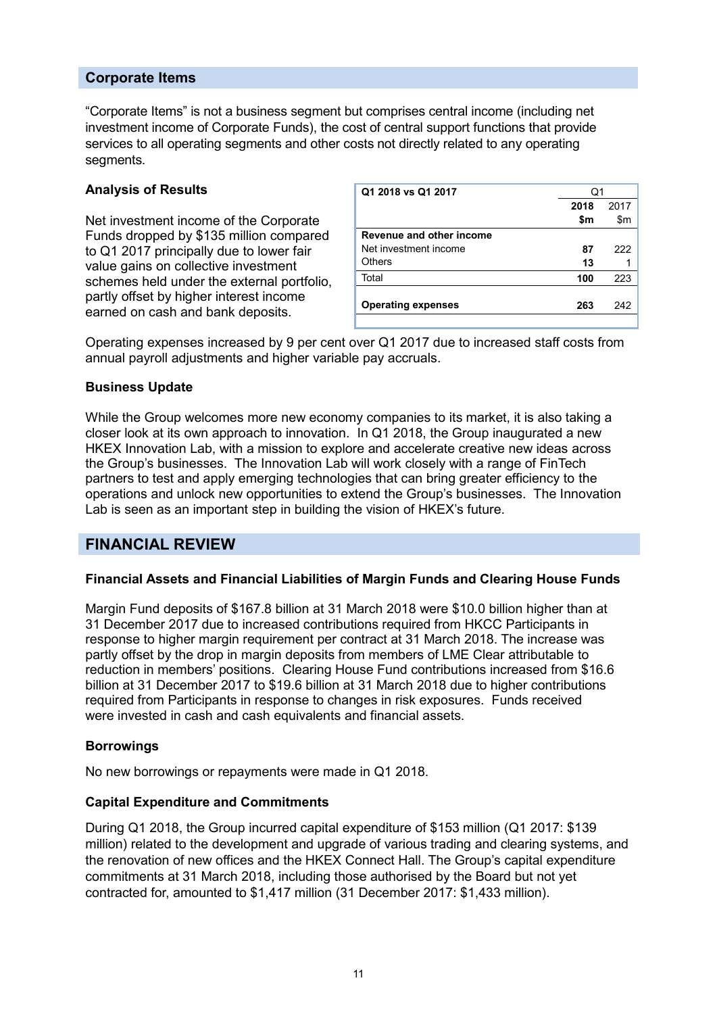# **Corporate Items**

"Corporate Items" is not a business segment but comprises central income (including net investment income of Corporate Funds), the cost of central support functions that provide services to all operating segments and other costs not directly related to any operating segments.

#### **Analysis of Results**

Net investment income of the Corporate Funds dropped by \$135 million compared to Q1 2017 principally due to lower fair value gains on collective investment schemes held under the external portfolio, partly offset by higher interest income earned on cash and bank deposits.

| Q1 2018 vs Q1 2017        | Q1   |      |
|---------------------------|------|------|
|                           | 2018 | 2017 |
|                           | \$m  | \$m  |
| Revenue and other income  |      |      |
| Net investment income     | 87   | 222  |
| Others                    | 13   |      |
| Total                     | 100  | 223  |
|                           |      |      |
| <b>Operating expenses</b> | 263  | 242  |
|                           |      |      |

Operating expenses increased by 9 per cent over Q1 2017 due to increased staff costs from annual payroll adjustments and higher variable pay accruals.

# **Business Update**

While the Group welcomes more new economy companies to its market, it is also taking a closer look at its own approach to innovation. In Q1 2018, the Group inaugurated a new HKEX Innovation Lab, with a mission to explore and accelerate creative new ideas across the Group's businesses. The Innovation Lab will work closely with a range of FinTech partners to test and apply emerging technologies that can bring greater efficiency to the operations and unlock new opportunities to extend the Group's businesses. The Innovation Lab is seen as an important step in building the vision of HKEX's future.

# **FINANCIAL REVIEW**

# **Financial Assets and Financial Liabilities of Margin Funds and Clearing House Funds**

Margin Fund deposits of \$167.8 billion at 31 March 2018 were \$10.0 billion higher than at 31 December 2017 due to increased contributions required from HKCC Participants in response to higher margin requirement per contract at 31 March 2018. The increase was partly offset by the drop in margin deposits from members of LME Clear attributable to reduction in members' positions. Clearing House Fund contributions increased from \$16.6 billion at 31 December 2017 to \$19.6 billion at 31 March 2018 due to higher contributions required from Participants in response to changes in risk exposures. Funds received were invested in cash and cash equivalents and financial assets.

#### **Borrowings**

No new borrowings or repayments were made in Q1 2018.

#### **Capital Expenditure and Commitments**

During Q1 2018, the Group incurred capital expenditure of \$153 million (Q1 2017: \$139 million) related to the development and upgrade of various trading and clearing systems, and the renovation of new offices and the HKEX Connect Hall. The Group's capital expenditure commitments at 31 March 2018, including those authorised by the Board but not yet contracted for, amounted to \$1,417 million (31 December 2017: \$1,433 million).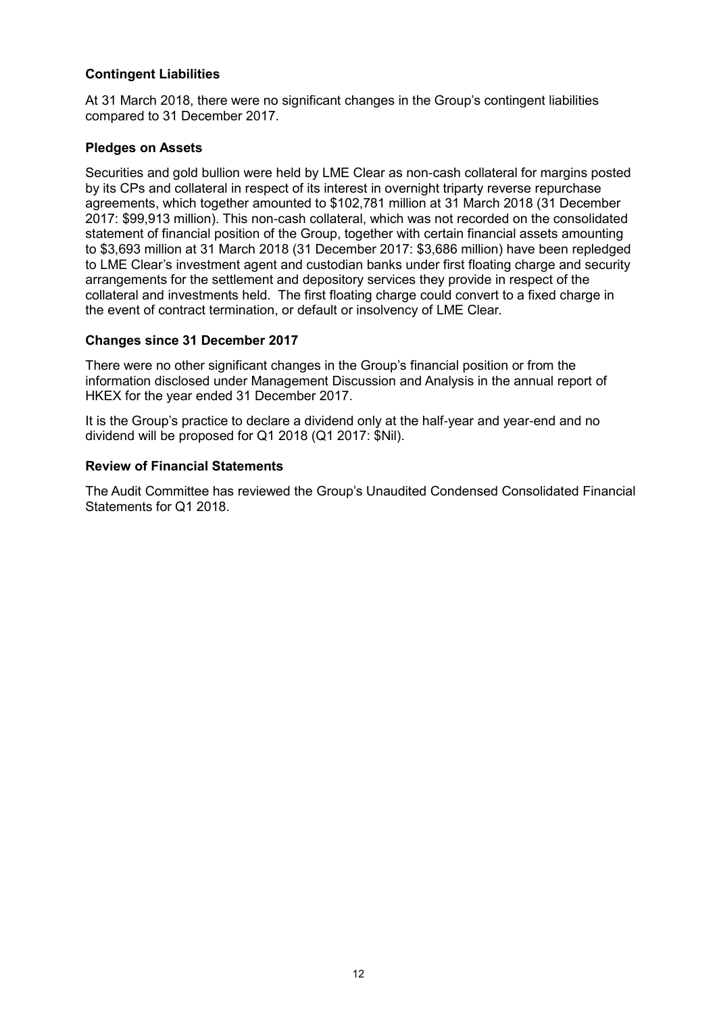# **Contingent Liabilities**

At 31 March 2018, there were no significant changes in the Group's contingent liabilities compared to 31 December 2017.

# **Pledges on Assets**

Securities and gold bullion were held by LME Clear as non-cash collateral for margins posted by its CPs and collateral in respect of its interest in overnight triparty reverse repurchase agreements, which together amounted to \$102,781 million at 31 March 2018 (31 December 2017: \$99,913 million). This non-cash collateral, which was not recorded on the consolidated statement of financial position of the Group, together with certain financial assets amounting to \$3,693 million at 31 March 2018 (31 December 2017: \$3,686 million) have been repledged to LME Clear's investment agent and custodian banks under first floating charge and security arrangements for the settlement and depository services they provide in respect of the collateral and investments held. The first floating charge could convert to a fixed charge in the event of contract termination, or default or insolvency of LME Clear.

#### **Changes since 31 December 2017**

There were no other significant changes in the Group's financial position or from the information disclosed under Management Discussion and Analysis in the annual report of HKEX for the year ended 31 December 2017.

It is the Group's practice to declare a dividend only at the half-year and year-end and no dividend will be proposed for Q1 2018 (Q1 2017: \$Nil).

#### **Review of Financial Statements**

The Audit Committee has reviewed the Group's Unaudited Condensed Consolidated Financial Statements for Q1 2018.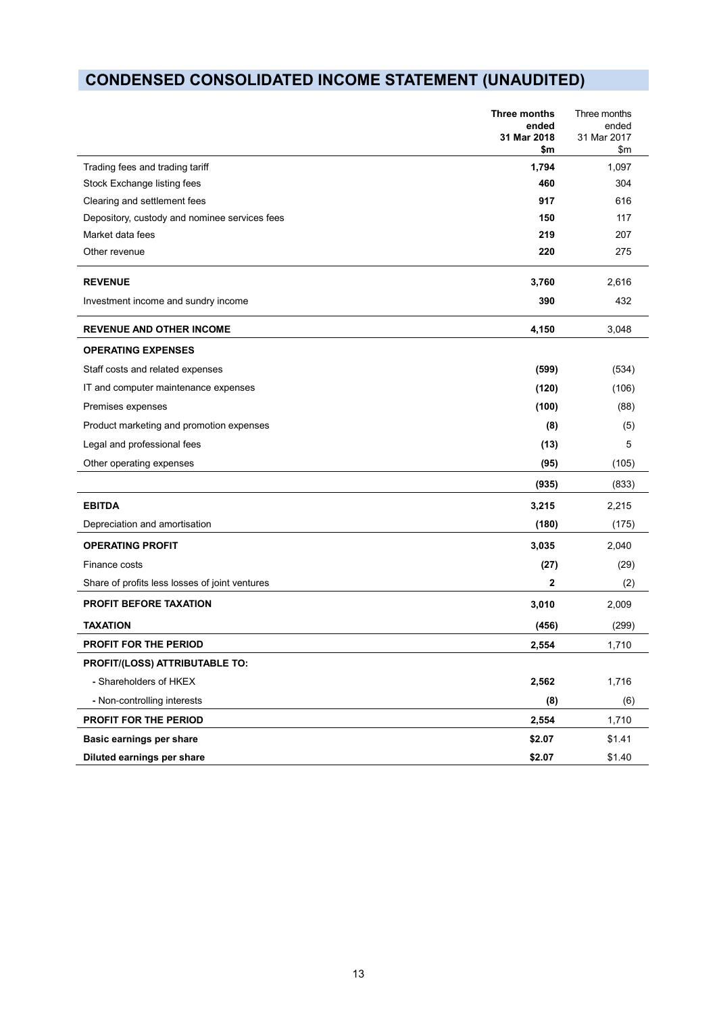# **CONDENSED CONSOLIDATED INCOME STATEMENT (UNAUDITED)**

|                                                | Three months<br>ended<br>31 Mar 2018<br>\$m | Three months<br>ended<br>31 Mar 2017<br>$\mathsf{S}$ m |
|------------------------------------------------|---------------------------------------------|--------------------------------------------------------|
| Trading fees and trading tariff                | 1,794                                       | 1,097                                                  |
| Stock Exchange listing fees                    | 460                                         | 304                                                    |
| Clearing and settlement fees                   | 917                                         | 616                                                    |
| Depository, custody and nominee services fees  | 150                                         | 117                                                    |
| Market data fees                               | 219                                         | 207                                                    |
| Other revenue                                  | 220                                         | 275                                                    |
| <b>REVENUE</b>                                 | 3,760                                       | 2,616                                                  |
| Investment income and sundry income            | 390                                         | 432                                                    |
| <b>REVENUE AND OTHER INCOME</b>                | 4,150                                       | 3,048                                                  |
| <b>OPERATING EXPENSES</b>                      |                                             |                                                        |
| Staff costs and related expenses               | (599)                                       | (534)                                                  |
| IT and computer maintenance expenses           | (120)                                       | (106)                                                  |
| Premises expenses                              | (100)                                       | (88)                                                   |
| Product marketing and promotion expenses       | (8)                                         | (5)                                                    |
| Legal and professional fees                    | (13)                                        | 5                                                      |
| Other operating expenses                       | (95)                                        | (105)                                                  |
|                                                | (935)                                       | (833)                                                  |
| <b>EBITDA</b>                                  | 3,215                                       | 2,215                                                  |
| Depreciation and amortisation                  | (180)                                       | (175)                                                  |
| <b>OPERATING PROFIT</b>                        | 3,035                                       | 2,040                                                  |
| Finance costs                                  | (27)                                        | (29)                                                   |
| Share of profits less losses of joint ventures | $\overline{2}$                              | (2)                                                    |
| <b>PROFIT BEFORE TAXATION</b>                  | 3,010                                       | 2,009                                                  |
| <b>TAXATION</b>                                | (456)                                       | (299)                                                  |
| PROFIT FOR THE PERIOD                          | 2.554                                       | 1,710                                                  |
| PROFIT/(LOSS) ATTRIBUTABLE TO:                 |                                             |                                                        |
| - Shareholders of HKEX                         | 2,562                                       | 1,716                                                  |
| - Non-controlling interests                    | (8)                                         | (6)                                                    |
| PROFIT FOR THE PERIOD                          | 2,554                                       | 1,710                                                  |
| Basic earnings per share                       | \$2.07                                      | \$1.41                                                 |
| Diluted earnings per share                     | \$2.07                                      | \$1.40                                                 |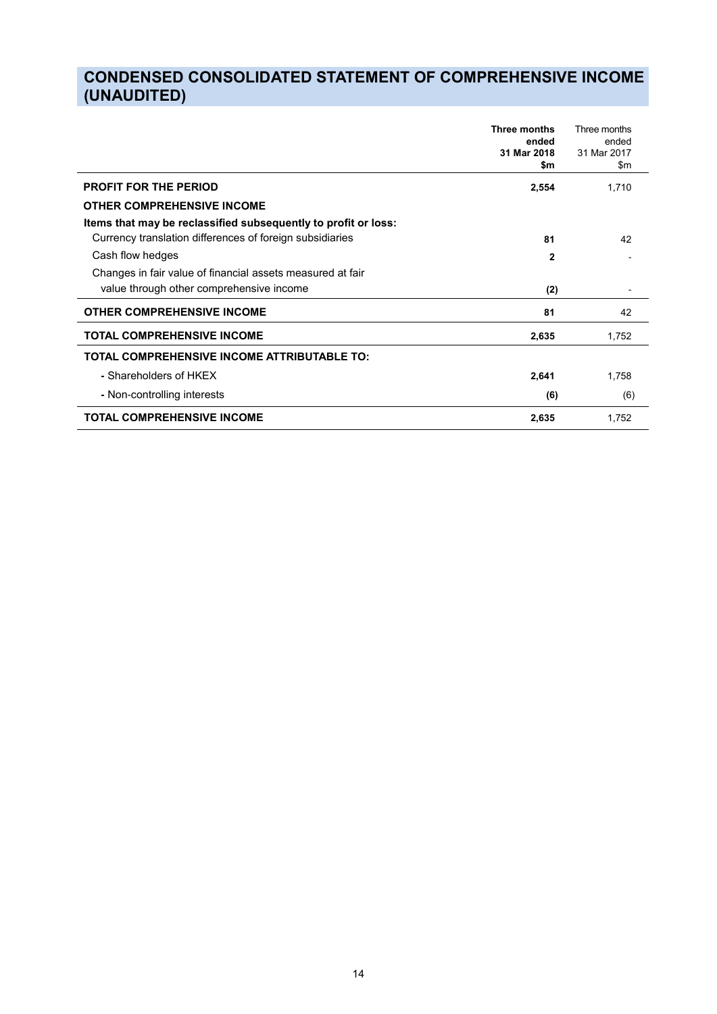# **CONDENSED CONSOLIDATED STATEMENT OF COMPREHENSIVE INCOME (UNAUDITED)**

|                                                                | <b>Three months</b><br>ended<br>31 Mar 2018<br>\$m | Three months<br>ended<br>31 Mar 2017<br>\$m |
|----------------------------------------------------------------|----------------------------------------------------|---------------------------------------------|
| <b>PROFIT FOR THE PERIOD</b>                                   | 2,554                                              | 1,710                                       |
| <b>OTHER COMPREHENSIVE INCOME</b>                              |                                                    |                                             |
| Items that may be reclassified subsequently to profit or loss: |                                                    |                                             |
| Currency translation differences of foreign subsidiaries       | 81                                                 | 42                                          |
| Cash flow hedges                                               | $\mathbf{2}$                                       |                                             |
| Changes in fair value of financial assets measured at fair     |                                                    |                                             |
| value through other comprehensive income                       | (2)                                                |                                             |
| <b>OTHER COMPREHENSIVE INCOME</b>                              | 81                                                 | 42                                          |
| <b>TOTAL COMPREHENSIVE INCOME</b>                              | 2,635                                              | 1,752                                       |
| <b>TOTAL COMPREHENSIVE INCOME ATTRIBUTABLE TO:</b>             |                                                    |                                             |
| - Shareholders of HKFX                                         | 2,641                                              | 1,758                                       |
| - Non-controlling interests                                    | (6)                                                | (6)                                         |
| <b>TOTAL COMPREHENSIVE INCOME</b>                              | 2,635                                              | 1,752                                       |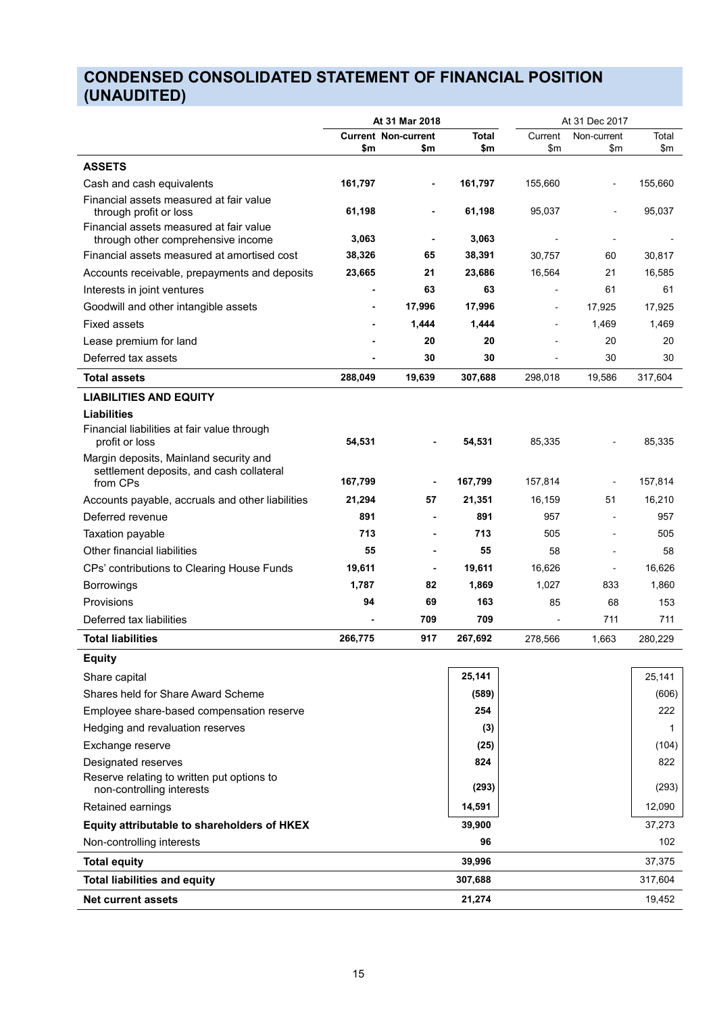# **CONDENSED CONSOLIDATED STATEMENT OF FINANCIAL POSITION (UNAUDITED)**

|                                                                                                |                                   | At 31 Mar 2018 |              |            | At 31 Dec 2017      |                  |
|------------------------------------------------------------------------------------------------|-----------------------------------|----------------|--------------|------------|---------------------|------------------|
|                                                                                                | <b>Current Non-current</b><br>\$m | \$m            | Total<br>\$m |            | Current Non-current | Total<br>\$m\$   |
|                                                                                                |                                   |                |              | \$m        | \$m                 |                  |
| <b>ASSETS</b>                                                                                  |                                   |                |              |            |                     |                  |
| Cash and cash equivalents<br>Financial assets measured at fair value                           | 161,797                           | $\sim$         | 161,797      | 155,660    | $\sim$              | 155,660          |
| through profit or loss                                                                         | 61,198                            | $\sim$         | 61,198       | 95,037     | $\sim 100$          | 95,037           |
| Financial assets measured at fair value<br>through other comprehensive income                  | 3,063                             | $\sim$         | 3,063        | $\sim$     | $\sim$              | $\sim$ 100 $\pm$ |
| Financial assets measured at amortised cost                                                    | 38,326                            | 65             | 38,391       | 30,757     | 60                  | 30,817           |
| Accounts receivable, prepayments and deposits                                                  | 23,665                            | 21             | 23,686       | 16,564     | 21                  | 16,585           |
| Interests in joint ventures                                                                    | $\overline{\phantom{a}}$          | 63             | 63           | $\sim$     | 61                  | 61               |
| Goodwill and other intangible assets                                                           | $\sim$                            | 17,996         | 17,996       | $\sim$ $-$ | 17,925              | 17,925           |
| Fixed assets                                                                                   | $\sim$                            | 1,444          | 1,444        | $\sim$ $-$ | 1,469               | 1,469            |
| Lease premium for land                                                                         |                                   | 20             | 20           | $\sim$     | 20                  | 20               |
| Deferred tax assets                                                                            | $\overline{\phantom{a}}$          | 30             | 30           |            | 30                  | 30               |
| <b>Total assets</b>                                                                            | 288,049                           | 19,639         | 307,688      | 298,018    | 19,586              | 317,604          |
| <b>LIABILITIES AND EQUITY</b>                                                                  |                                   |                |              |            |                     |                  |
| <b>Liabilities</b><br>Financial liabilities at fair value through<br>profit or loss            | 54,531                            | $\sim$         | 54,531       | 85,335     | $\sim$              | 85,335           |
| Margin deposits, Mainland security and<br>settlement deposits, and cash collateral<br>from CPs | 167,799                           | $\sim$         | 167,799      | 157,814    | $\sim$              | 157,814          |
| Accounts payable, accruals and other liabilities                                               | 21,294                            | 57             | 21,351       | 16,159     | 51                  | 16,210           |
| Deferred revenue                                                                               | 891                               | $\sim$         | 891          | 957        | $\sim$              | 957              |
| Taxation payable                                                                               | 713                               | $\sim$         | 713          | 505        | $\sim$              | 505              |
| Other financial liabilities                                                                    | 55                                | $\sim$         | 55           | 58         | $\sim$              | 58               |
| CPs' contributions to Clearing House Funds                                                     | 19,611                            | $\sim$ $-$     | 19,611       | 16,626     | $\sim$              | 16,626           |
| Borrowings                                                                                     | 1,787                             | 82             | 1,869        | 1,027      | 833                 | 1,860            |
| Provisions                                                                                     | 94                                | 69             | 163          | 85         | 68                  | 153              |
| Deferred tax liabilities                                                                       |                                   | 709            | 709          | $\sim$     | 711                 | 711              |
| <b>Total liabilities</b>                                                                       | 266,775                           | 917            | 267,692      | 278,566    | 1,663               | 280,229          |
| <b>Equity</b>                                                                                  |                                   |                |              |            |                     |                  |
| Share capital                                                                                  |                                   |                | 25,141       |            |                     | 25,141           |
| Shares held for Share Award Scheme                                                             |                                   |                | (589)        |            |                     | (606)            |
| Employee share-based compensation reserve                                                      |                                   |                | 254          |            |                     | 222              |
| Hedging and revaluation reserves                                                               |                                   |                | (3)          |            |                     |                  |
| Exchange reserve                                                                               |                                   |                | (25)         |            |                     | (104)            |
| Designated reserves                                                                            |                                   |                | 824          |            |                     | 822              |
| Reserve relating to written put options to                                                     |                                   |                |              |            |                     |                  |
| non-controlling interests                                                                      |                                   |                | (293)        |            |                     | (293)            |
| Retained earnings                                                                              |                                   |                | 14,591       |            |                     | 12,090           |
| Equity attributable to shareholders of HKEX                                                    |                                   |                | 39,900       |            |                     | 37,273           |
| Non-controlling interests                                                                      |                                   |                | 96           |            |                     | 102              |
| <b>Total equity</b>                                                                            |                                   |                | 39,996       |            |                     | 37,375           |
| <b>Total liabilities and equity</b>                                                            |                                   |                | 307,688      |            |                     | 317,604          |
| Net current assets                                                                             |                                   |                | 21,274       |            |                     | 19,452           |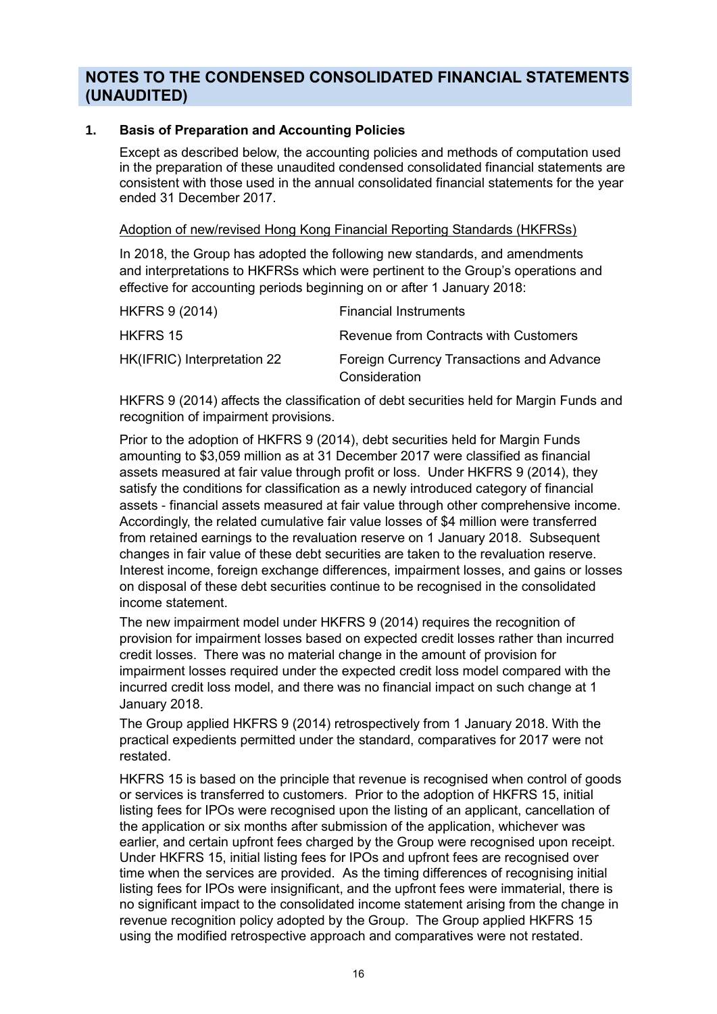# **NOTES TO THE CONDENSED CONSOLIDATED FINANCIAL STATEMENTS (UNAUDITED)**

# **1. Basis of Preparation and Accounting Policies**

Except as described below, the accounting policies and methods of computation used in the preparation of these unaudited condensed consolidated financial statements are consistent with those used in the annual consolidated financial statements for the year ended 31 December 2017.

# Adoption of new/revised Hong Kong Financial Reporting Standards (HKFRSs)

In 2018, the Group has adopted the following new standards, and amendments and interpretations to HKFRSs which were pertinent to the Group's operations and effective for accounting periods beginning on or after 1 January 2018:

| <b>HKFRS 9 (2014)</b>       | <b>Financial Instruments</b>                               |
|-----------------------------|------------------------------------------------------------|
| HKFRS 15                    | Revenue from Contracts with Customers                      |
| HK(IFRIC) Interpretation 22 | Foreign Currency Transactions and Advance<br>Consideration |

HKFRS 9 (2014) affects the classification of debt securities held for Margin Funds and recognition of impairment provisions.

Prior to the adoption of HKFRS 9 (2014), debt securities held for Margin Funds amounting to \$3,059 million as at 31 December 2017 were classified as financial assets measured at fair value through profit or loss. Under HKFRS 9 (2014), they satisfy the conditions for classification as a newly introduced category of financial assets - financial assets measured at fair value through other comprehensive income. Accordingly, the related cumulative fair value losses of \$4 million were transferred from retained earnings to the revaluation reserve on 1 January 2018. Subsequent changes in fair value of these debt securities are taken to the revaluation reserve. Interest income, foreign exchange differences, impairment losses, and gains or losses on disposal of these debt securities continue to be recognised in the consolidated income statement.

The new impairment model under HKFRS 9 (2014) requires the recognition of provision for impairment losses based on expected credit losses rather than incurred credit losses. There was no material change in the amount of provision for impairment losses required under the expected credit loss model compared with the incurred credit loss model, and there was no financial impact on such change at 1 January 2018.

The Group applied HKFRS 9 (2014) retrospectively from 1 January 2018. With the practical expedients permitted under the standard, comparatives for 2017 were not restated.

HKFRS 15 is based on the principle that revenue is recognised when control of goods or services is transferred to customers. Prior to the adoption of HKFRS 15, initial listing fees for IPOs were recognised upon the listing of an applicant, cancellation of the application or six months after submission of the application, whichever was earlier, and certain upfront fees charged by the Group were recognised upon receipt. Under HKFRS 15, initial listing fees for IPOs and upfront fees are recognised over time when the services are provided. As the timing differences of recognising initial listing fees for IPOs were insignificant, and the upfront fees were immaterial, there is no significant impact to the consolidated income statement arising from the change in revenue recognition policy adopted by the Group. The Group applied HKFRS 15 using the modified retrospective approach and comparatives were not restated.